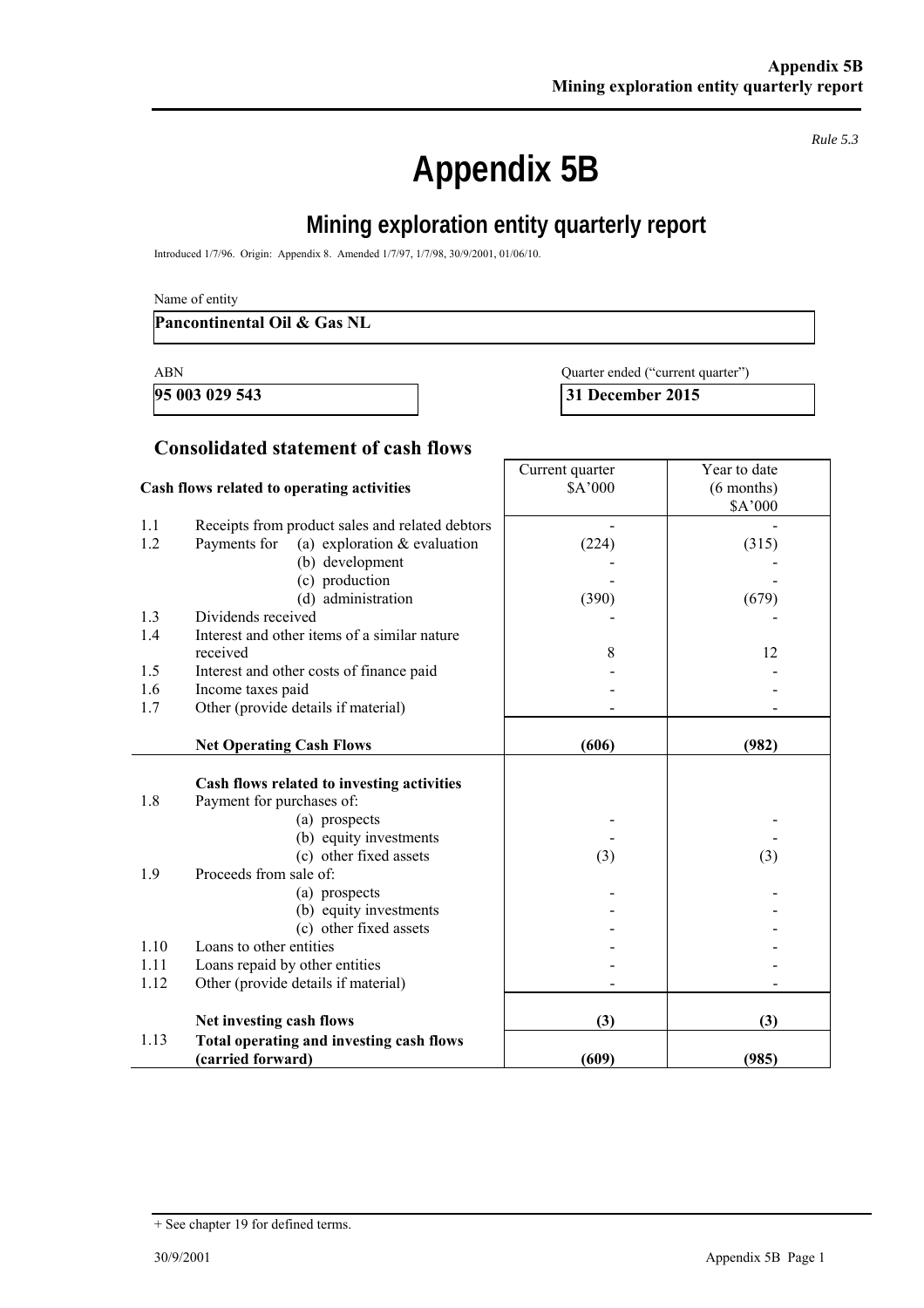*Rule 5.3* 

# **Appendix 5B**

## **Mining exploration entity quarterly report**

Introduced 1/7/96. Origin: Appendix 8. Amended 1/7/97, 1/7/98, 30/9/2001, 01/06/10.

#### **Pancontinental Oil & Gas NL**

| ABN | Quarter ended ("current quarter") |
|-----|-----------------------------------|
|     |                                   |

**95 003 029 543 31 December 2015** 

## **Consolidated statement of cash flows**

|      | Cash flows related to operating activities      | Current quarter<br>\$A'000 | Year to date<br>$(6$ months) |
|------|-------------------------------------------------|----------------------------|------------------------------|
| 1.1  | Receipts from product sales and related debtors |                            | \$A'000                      |
| 1.2  | Payments for<br>(a) exploration $&$ evaluation  | (224)                      | (315)                        |
|      | (b) development                                 |                            |                              |
|      | (c) production                                  |                            |                              |
|      | (d) administration                              | (390)                      | (679)                        |
| 1.3  | Dividends received                              |                            |                              |
| 1.4  | Interest and other items of a similar nature    |                            |                              |
|      | received                                        | 8                          | 12                           |
| 1.5  | Interest and other costs of finance paid        |                            |                              |
| 1.6  | Income taxes paid                               |                            |                              |
| 1.7  | Other (provide details if material)             |                            |                              |
|      |                                                 |                            |                              |
|      | <b>Net Operating Cash Flows</b>                 | (606)                      | (982)                        |
|      |                                                 |                            |                              |
|      | Cash flows related to investing activities      |                            |                              |
| 1.8  | Payment for purchases of:                       |                            |                              |
|      | (a) prospects<br>(b) equity investments         |                            |                              |
|      | (c) other fixed assets                          | (3)                        | (3)                          |
| 1.9  | Proceeds from sale of:                          |                            |                              |
|      | (a) prospects                                   |                            |                              |
|      | (b) equity investments                          |                            |                              |
|      | (c) other fixed assets                          |                            |                              |
| 1.10 | Loans to other entities                         |                            |                              |
| 1.11 | Loans repaid by other entities                  |                            |                              |
| 1.12 | Other (provide details if material)             |                            |                              |
|      |                                                 |                            |                              |
|      | Net investing cash flows                        | (3)                        | (3)                          |
| 1.13 | Total operating and investing cash flows        |                            |                              |
|      | (carried forward)                               | (609)                      | (985)                        |

<sup>+</sup> See chapter 19 for defined terms.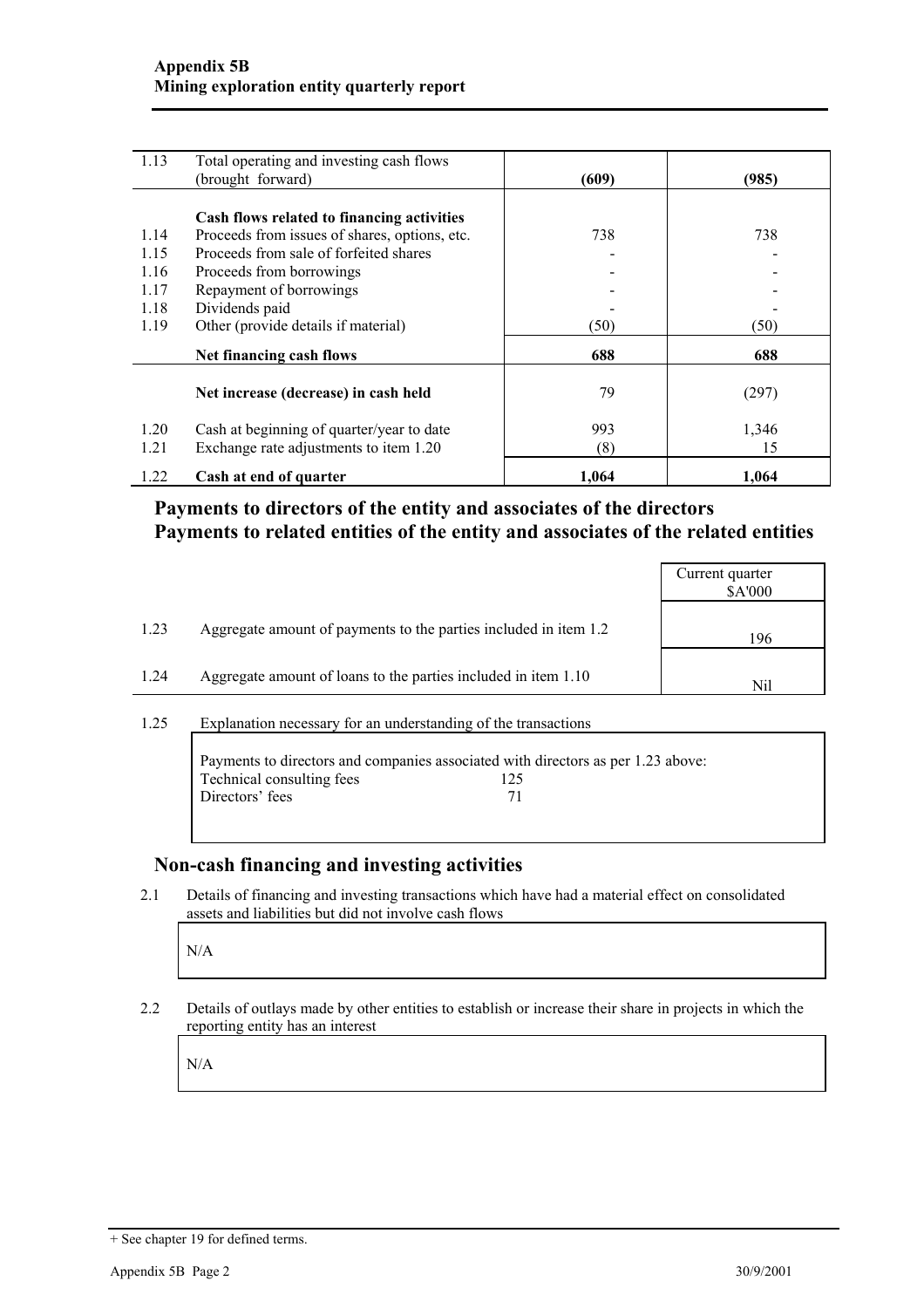| 1.13 | Total operating and investing cash flows      |       |       |
|------|-----------------------------------------------|-------|-------|
|      | (brought forward)                             | (609) | (985) |
|      |                                               |       |       |
|      | Cash flows related to financing activities    |       |       |
| 1.14 | Proceeds from issues of shares, options, etc. | 738   | 738   |
| 1.15 | Proceeds from sale of forfeited shares        |       |       |
| 1.16 | Proceeds from borrowings                      |       |       |
| 1.17 | Repayment of borrowings                       |       |       |
| 1.18 | Dividends paid                                |       |       |
| 1.19 | Other (provide details if material)           | (50)  | (50)  |
|      | Net financing cash flows                      | 688   | 688   |
|      | Net increase (decrease) in cash held          | 79    | (297) |
| 1.20 | Cash at beginning of quarter/year to date     | 993   | 1,346 |
| 1.21 | Exchange rate adjustments to item 1.20        | (8)   | 15    |
| 1.22 | Cash at end of quarter                        | 1,064 | 1,064 |

## **Payments to directors of the entity and associates of the directors Payments to related entities of the entity and associates of the related entities**

|      |                                                                  | Current quarter<br>\$A'000 |
|------|------------------------------------------------------------------|----------------------------|
| 1.23 | Aggregate amount of payments to the parties included in item 1.2 | 196                        |
| 1.24 | Aggregate amount of loans to the parties included in item 1.10   | Nil                        |
|      |                                                                  |                            |

#### 1.25 Explanation necessary for an understanding of the transactions

|                           | Payments to directors and companies associated with directors as per 1.23 above: |  |
|---------------------------|----------------------------------------------------------------------------------|--|
| Technical consulting fees | 125                                                                              |  |
| Directors' fees           | 71                                                                               |  |
|                           |                                                                                  |  |

### **Non-cash financing and investing activities**

2.1 Details of financing and investing transactions which have had a material effect on consolidated assets and liabilities but did not involve cash flows

N/A

2.2 Details of outlays made by other entities to establish or increase their share in projects in which the reporting entity has an interest

N/A

<sup>+</sup> See chapter 19 for defined terms.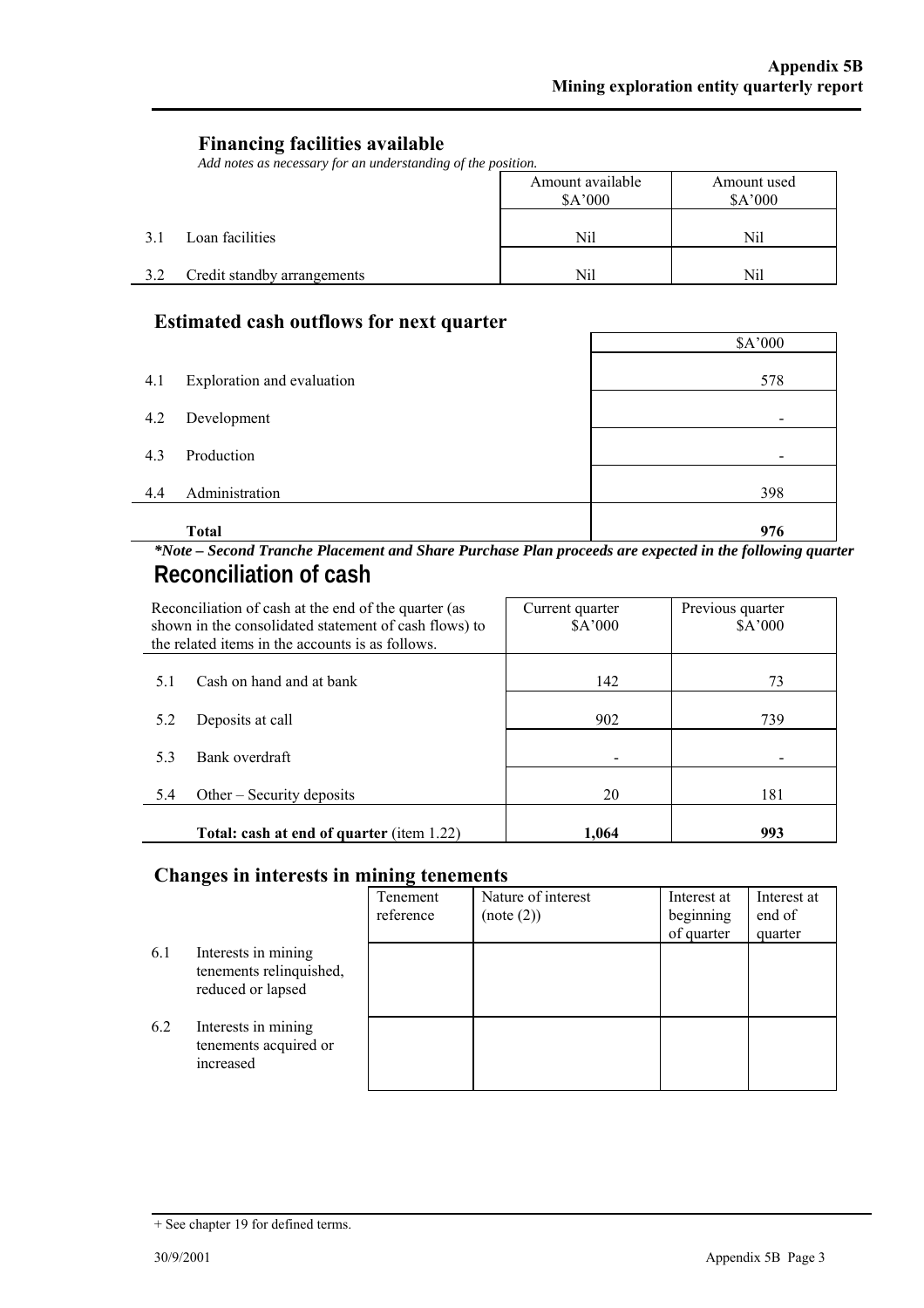$\overline{\phantom{0}}$ 

#### **Financing facilities available**

*Add notes as necessary for an understanding of the position.* 

|     |                             | Amount available<br>\$A'000 | Amount used<br>\$A'000 |
|-----|-----------------------------|-----------------------------|------------------------|
| 3.1 | Loan facilities             | Nil                         | Nil                    |
| 3.2 | Credit standby arrangements | Nil                         | Nil                    |

## **Estimated cash outflows for next quarter**

|     | <b>Total</b>               | 976                      |
|-----|----------------------------|--------------------------|
| 4.4 | Administration             | 398                      |
| 4.3 | Production                 | $\overline{\phantom{a}}$ |
| 4.2 | Development                | $\overline{\phantom{a}}$ |
| 4.1 | Exploration and evaluation | 578                      |
|     |                            | \$A'000                  |

#### *\*Note – Second Tranche Placement and Share Purchase Plan proceeds are expected in the following quarter*  **Reconciliation of cash**

|     | Reconciliation of cash at the end of the quarter (as<br>shown in the consolidated statement of cash flows) to<br>the related items in the accounts is as follows. | Current quarter<br>\$A'000 | Previous quarter<br>\$A'000 |
|-----|-------------------------------------------------------------------------------------------------------------------------------------------------------------------|----------------------------|-----------------------------|
| 5.1 | Cash on hand and at bank                                                                                                                                          | 142                        | 73                          |
| 5.2 | Deposits at call                                                                                                                                                  | 902                        | 739                         |
| 5.3 | Bank overdraft                                                                                                                                                    |                            |                             |
| 5.4 | Other $-$ Security deposits                                                                                                                                       | 20                         | 181                         |
|     | <b>Total: cash at end of quarter</b> (item 1.22)                                                                                                                  | 1.064                      | 993                         |

#### **Changes in interests in mining tenements**

|     |                                                                     | Tenement<br>reference | Nature of interest<br>(note (2)) | Interest at<br>beginning<br>of quarter | Interest at<br>end of<br>quarter |
|-----|---------------------------------------------------------------------|-----------------------|----------------------------------|----------------------------------------|----------------------------------|
| 6.1 | Interests in mining<br>tenements relinquished,<br>reduced or lapsed |                       |                                  |                                        |                                  |
| 6.2 | Interests in mining<br>tenements acquired or<br>increased           |                       |                                  |                                        |                                  |

<sup>+</sup> See chapter 19 for defined terms.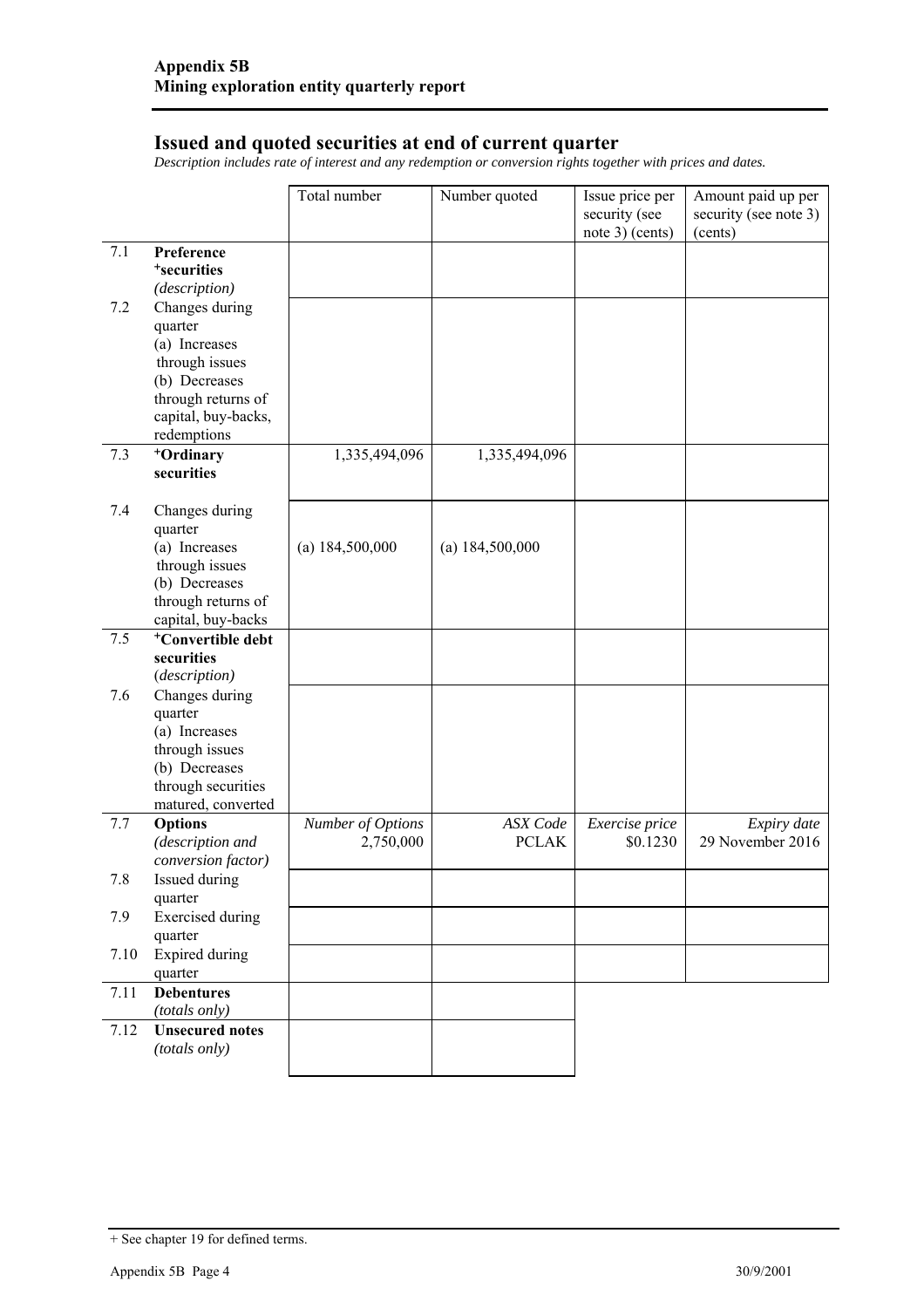#### **Issued and quoted securities at end of current quarter**

*Description includes rate of interest and any redemption or conversion rights together with prices and dates.* 

|         |                                          | Total number      | Number quoted     | Issue price per<br>security (see<br>note 3) (cents) | Amount paid up per<br>security (see note 3)<br>(cents) |
|---------|------------------------------------------|-------------------|-------------------|-----------------------------------------------------|--------------------------------------------------------|
| 7.1     | Preference                               |                   |                   |                                                     |                                                        |
|         | <sup>+</sup> securities                  |                   |                   |                                                     |                                                        |
|         | (description)                            |                   |                   |                                                     |                                                        |
| 7.2     | Changes during                           |                   |                   |                                                     |                                                        |
|         | quarter<br>(a) Increases                 |                   |                   |                                                     |                                                        |
|         | through issues                           |                   |                   |                                                     |                                                        |
|         | (b) Decreases                            |                   |                   |                                                     |                                                        |
|         | through returns of                       |                   |                   |                                                     |                                                        |
|         | capital, buy-backs,                      |                   |                   |                                                     |                                                        |
|         | redemptions                              |                   |                   |                                                     |                                                        |
| 7.3     | +Ordinary                                | 1,335,494,096     | 1,335,494,096     |                                                     |                                                        |
|         | securities                               |                   |                   |                                                     |                                                        |
| 7.4     | Changes during                           |                   |                   |                                                     |                                                        |
|         | quarter                                  |                   |                   |                                                     |                                                        |
|         | (a) Increases                            | (a) 184,500,000   | (a) $184,500,000$ |                                                     |                                                        |
|         | through issues                           |                   |                   |                                                     |                                                        |
|         | (b) Decreases                            |                   |                   |                                                     |                                                        |
|         | through returns of<br>capital, buy-backs |                   |                   |                                                     |                                                        |
| 7.5     | <sup>+</sup> Convertible debt            |                   |                   |                                                     |                                                        |
|         | securities                               |                   |                   |                                                     |                                                        |
|         | (description)                            |                   |                   |                                                     |                                                        |
| 7.6     | Changes during                           |                   |                   |                                                     |                                                        |
|         | quarter                                  |                   |                   |                                                     |                                                        |
|         | (a) Increases                            |                   |                   |                                                     |                                                        |
|         | through issues                           |                   |                   |                                                     |                                                        |
|         | (b) Decreases<br>through securities      |                   |                   |                                                     |                                                        |
|         | matured, converted                       |                   |                   |                                                     |                                                        |
| 7.7     | Options                                  | Number of Options | <b>ASX</b> Code   | Exercise price                                      | Expiry date                                            |
|         | (description and                         | 2,750,000         | <b>PCLAK</b>      | \$0.1230                                            | 29 November 2016                                       |
|         | conversion factor)                       |                   |                   |                                                     |                                                        |
| $7.8\,$ | Issued during                            |                   |                   |                                                     |                                                        |
|         | quarter                                  |                   |                   |                                                     |                                                        |
| 7.9     | <b>Exercised</b> during                  |                   |                   |                                                     |                                                        |
|         | quarter                                  |                   |                   |                                                     |                                                        |
| 7.10    | <b>Expired during</b><br>quarter         |                   |                   |                                                     |                                                        |
| 7.11    | <b>Debentures</b>                        |                   |                   |                                                     |                                                        |
|         | (totals only)                            |                   |                   |                                                     |                                                        |
| 7.12    | <b>Unsecured</b> notes                   |                   |                   |                                                     |                                                        |
|         | (totals only)                            |                   |                   |                                                     |                                                        |
|         |                                          |                   |                   |                                                     |                                                        |

<sup>+</sup> See chapter 19 for defined terms.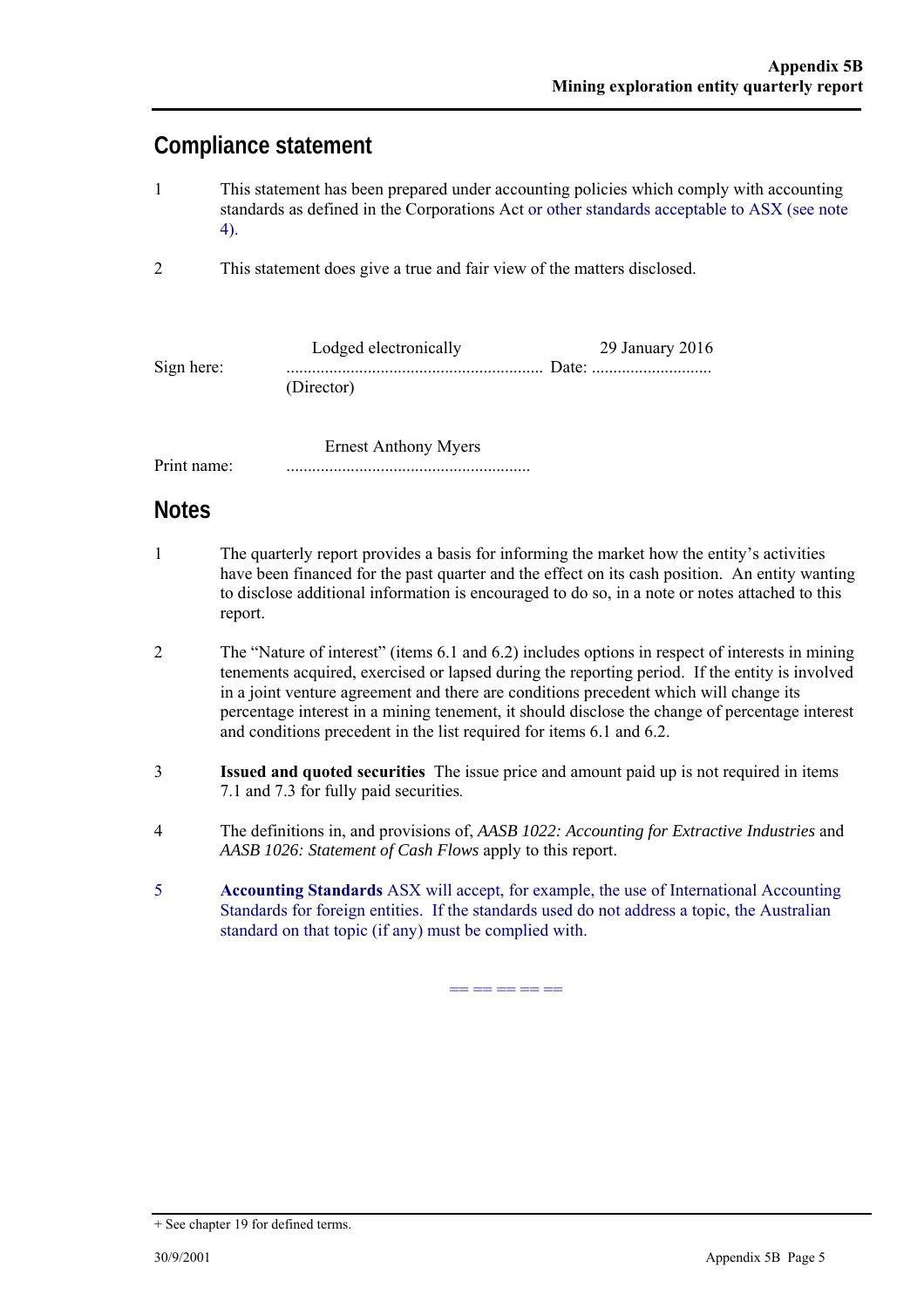## **Compliance statement**

- 1 This statement has been prepared under accounting policies which comply with accounting standards as defined in the Corporations Act or other standards acceptable to ASX (see note 4).
- 2 This statement does give a true and fair view of the matters disclosed.

|            | Lodged electronically | $29$ January $2016$ |
|------------|-----------------------|---------------------|
| Sign here: |                       |                     |
|            | (Director)            |                     |

 Ernest Anthony Myers Print name: .........................................................

## **Notes**

- 1 The quarterly report provides a basis for informing the market how the entity's activities have been financed for the past quarter and the effect on its cash position. An entity wanting to disclose additional information is encouraged to do so, in a note or notes attached to this report.
- 2 The "Nature of interest" (items 6.1 and 6.2) includes options in respect of interests in mining tenements acquired, exercised or lapsed during the reporting period. If the entity is involved in a joint venture agreement and there are conditions precedent which will change its percentage interest in a mining tenement, it should disclose the change of percentage interest and conditions precedent in the list required for items 6.1 and 6.2.
- 3 **Issued and quoted securities** The issue price and amount paid up is not required in items 7.1 and 7.3 for fully paid securities*.*
- 4 The definitions in, and provisions of, *AASB 1022: Accounting for Extractive Industries* and *AASB 1026: Statement of Cash Flows* apply to this report.
- 5 **Accounting Standards** ASX will accept, for example, the use of International Accounting Standards for foreign entities. If the standards used do not address a topic, the Australian standard on that topic (if any) must be complied with.

== == == == ==

<sup>+</sup> See chapter 19 for defined terms.